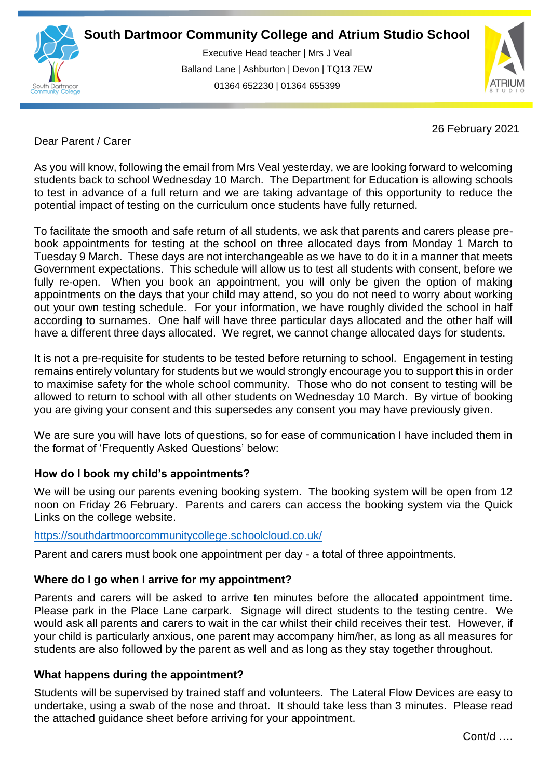

Executive Head teacher | Mrs J Veal Balland Lane | Ashburton | Devon | TQ13 7EW 01364 652230 | 01364 655399

ww.south.co.uk | [www.atrium-studio.co.uk](http://www.atrium-studio.co.uk/) | www.atrium-studio.co.uk



26 February 2021

# Dear Parent / Carer

As you will know, following the email from Mrs Veal yesterday, we are looking forward to welcoming students back to school Wednesday 10 March. The Department for Education is allowing schools to test in advance of a full return and we are taking advantage of this opportunity to reduce the potential impact of testing on the curriculum once students have fully returned.

To facilitate the smooth and safe return of all students, we ask that parents and carers please prebook appointments for testing at the school on three allocated days from Monday 1 March to Tuesday 9 March. These days are not interchangeable as we have to do it in a manner that meets Government expectations. This schedule will allow us to test all students with consent, before we fully re-open. When you book an appointment, you will only be given the option of making appointments on the days that your child may attend, so you do not need to worry about working out your own testing schedule. For your information, we have roughly divided the school in half according to surnames. One half will have three particular days allocated and the other half will have a different three days allocated. We regret, we cannot change allocated days for students.

It is not a pre-requisite for students to be tested before returning to school. Engagement in testing remains entirely voluntary for students but we would strongly encourage you to support this in order to maximise safety for the whole school community. Those who do not consent to testing will be allowed to return to school with all other students on Wednesday 10 March. By virtue of booking you are giving your consent and this supersedes any consent you may have previously given.

We are sure you will have lots of questions, so for ease of communication I have included them in the format of 'Frequently Asked Questions' below:

## **How do I book my child's appointments?**

We will be using our parents evening booking system. The booking system will be open from 12 noon on Friday 26 February. Parents and carers can access the booking system via the Quick Links on the college website.

## <https://southdartmoorcommunitycollege.schoolcloud.co.uk/>

Parent and carers must book one appointment per day - a total of three appointments.

## **Where do I go when I arrive for my appointment?**

Parents and carers will be asked to arrive ten minutes before the allocated appointment time. Please park in the Place Lane carpark. Signage will direct students to the testing centre. We would ask all parents and carers to wait in the car whilst their child receives their test. However, if your child is particularly anxious, one parent may accompany him/her, as long as all measures for students are also followed by the parent as well and as long as they stay together throughout.

## **What happens during the appointment?**

Students will be supervised by trained staff and volunteers. The Lateral Flow Devices are easy to undertake, using a swab of the nose and throat. It should take less than 3 minutes. Please read the attached guidance sheet before arriving for your appointment.